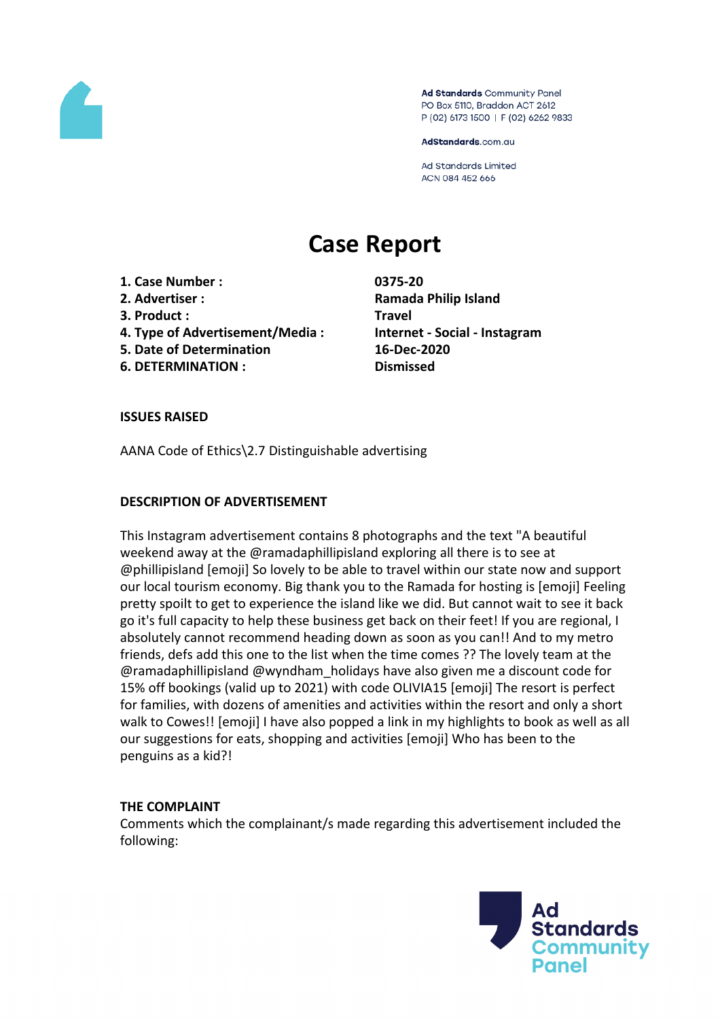

Ad Standards Community Panel PO Box 5110, Braddon ACT 2612 P (02) 6173 1500 | F (02) 6262 9833

AdStandards.com.au

**Ad Standards Limited** ACN 084 452 666

# **Case Report**

- **1. Case Number : 0375-20**
- 
- **3. Product : Travel**
- **4. Type of Advertisement/Media : Internet - Social - Instagram**
- **5. Date of Determination 16-Dec-2020**
- **6. DETERMINATION : Dismissed**

**2. Advertiser : Ramada Philip Island**

## **ISSUES RAISED**

AANA Code of Ethics\2.7 Distinguishable advertising

## **DESCRIPTION OF ADVERTISEMENT**

This Instagram advertisement contains 8 photographs and the text "A beautiful weekend away at the @ramadaphillipisland exploring all there is to see at @phillipisland [emoji] So lovely to be able to travel within our state now and support our local tourism economy. Big thank you to the Ramada for hosting is [emoji] Feeling pretty spoilt to get to experience the island like we did. But cannot wait to see it back go it's full capacity to help these business get back on their feet! If you are regional, I absolutely cannot recommend heading down as soon as you can!! And to my metro friends, defs add this one to the list when the time comes ?? The lovely team at the  $@$ ramadaphillipisland  $@$ wyndham holidays have also given me a discount code for 15% off bookings (valid up to 2021) with code OLIVIA15 [emoji] The resort is perfect for families, with dozens of amenities and activities within the resort and only a short walk to Cowes!! [emoji] I have also popped a link in my highlights to book as well as all our suggestions for eats, shopping and activities [emoji] Who has been to the penguins as a kid?!

#### **THE COMPLAINT**

Comments which the complainant/s made regarding this advertisement included the following:

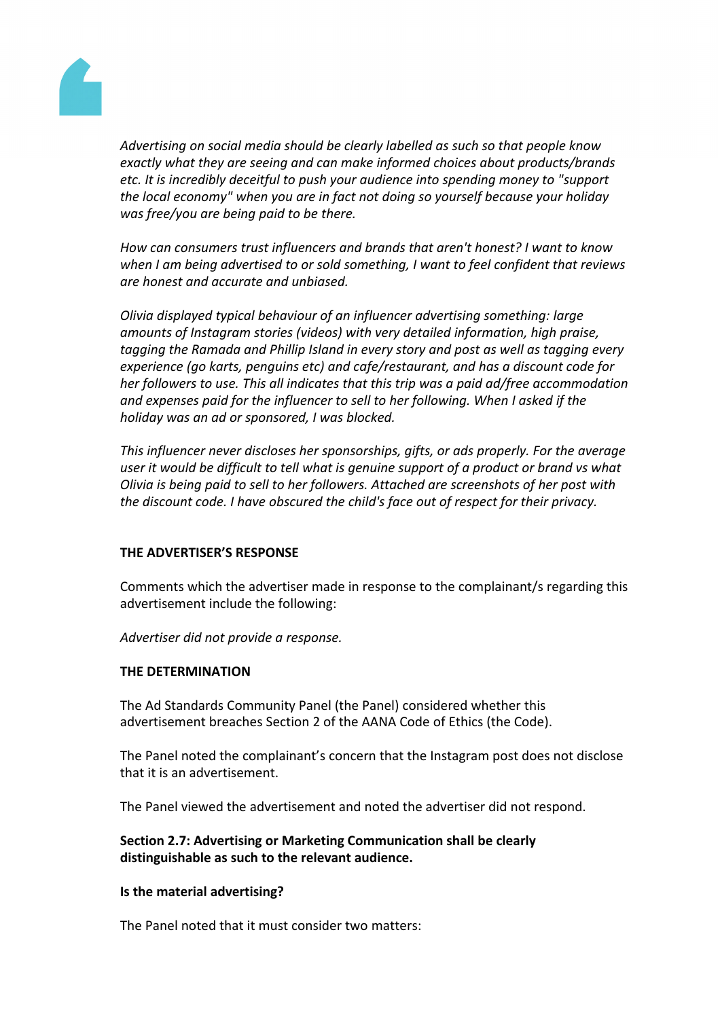

*Advertising on social media should be clearly labelled as such so that people know exactly what they are seeing and can make informed choices about products/brands etc. It is incredibly deceitful to push your audience into spending money to "support the local economy" when you are in fact not doing so yourself because your holiday was free/you are being paid to be there.*

*How can consumers trust influencers and brands that aren't honest? I want to know when I am being advertised to or sold something, I want to feel confident that reviews are honest and accurate and unbiased.*

*Olivia displayed typical behaviour of an influencer advertising something: large amounts of Instagram stories (videos) with very detailed information, high praise, tagging the Ramada and Phillip Island in every story and post as well as tagging every experience (go karts, penguins etc) and cafe/restaurant, and has a discount code for her followers to use. This all indicates that this trip was a paid ad/free accommodation and expenses paid for the influencer to sell to her following. When I asked if the holiday was an ad or sponsored, I was blocked.*

*This influencer never discloses her sponsorships, gifts, or ads properly. For the average user it would be difficult to tell what is genuine support of a product or brand vs what Olivia is being paid to sell to her followers. Attached are screenshots of her post with the discount code. I have obscured the child's face out of respect for their privacy.*

## **THE ADVERTISER'S RESPONSE**

Comments which the advertiser made in response to the complainant/s regarding this advertisement include the following:

*Advertiser did not provide a response.*

## **THE DETERMINATION**

The Ad Standards Community Panel (the Panel) considered whether this advertisement breaches Section 2 of the AANA Code of Ethics (the Code).

The Panel noted the complainant's concern that the Instagram post does not disclose that it is an advertisement.

The Panel viewed the advertisement and noted the advertiser did not respond.

**Section 2.7: Advertising or Marketing Communication shall be clearly distinguishable as such to the relevant audience.**

#### **Is the material advertising?**

The Panel noted that it must consider two matters: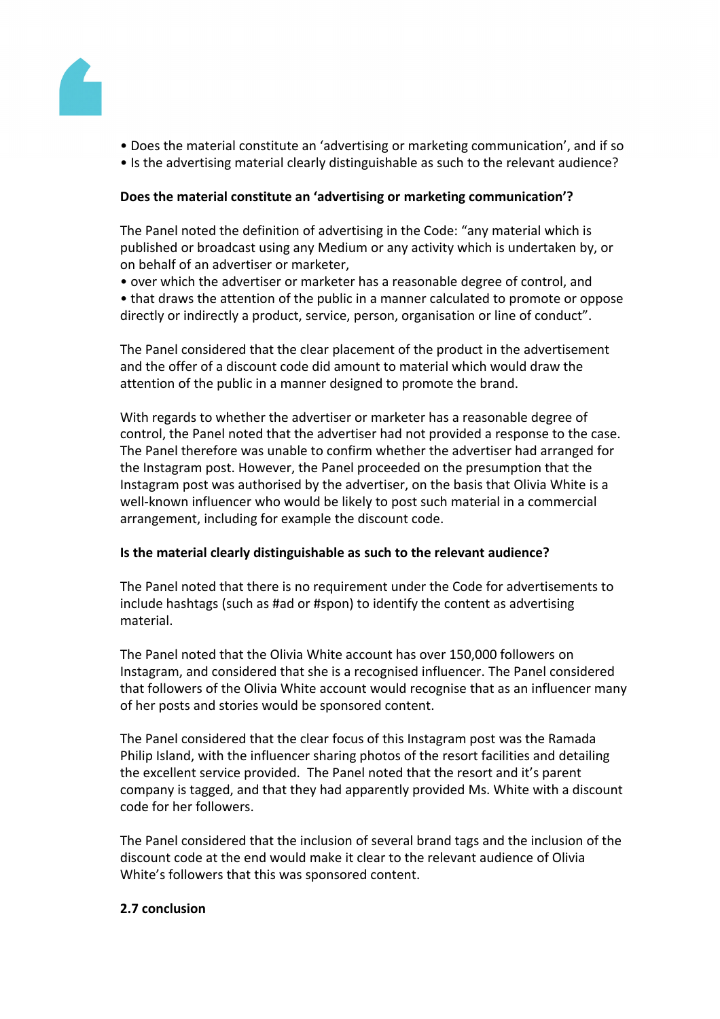

- Does the material constitute an 'advertising or marketing communication', and if so
- Is the advertising material clearly distinguishable as such to the relevant audience?

# **Does the material constitute an 'advertising or marketing communication'?**

The Panel noted the definition of advertising in the Code: "any material which is published or broadcast using any Medium or any activity which is undertaken by, or on behalf of an advertiser or marketer,

• over which the advertiser or marketer has a reasonable degree of control, and • that draws the attention of the public in a manner calculated to promote or oppose directly or indirectly a product, service, person, organisation or line of conduct".

The Panel considered that the clear placement of the product in the advertisement and the offer of a discount code did amount to material which would draw the attention of the public in a manner designed to promote the brand.

With regards to whether the advertiser or marketer has a reasonable degree of control, the Panel noted that the advertiser had not provided a response to the case. The Panel therefore was unable to confirm whether the advertiser had arranged for the Instagram post. However, the Panel proceeded on the presumption that the Instagram post was authorised by the advertiser, on the basis that Olivia White is a well-known influencer who would be likely to post such material in a commercial arrangement, including for example the discount code.

## **Is the material clearly distinguishable as such to the relevant audience?**

The Panel noted that there is no requirement under the Code for advertisements to include hashtags (such as #ad or #spon) to identify the content as advertising material.

The Panel noted that the Olivia White account has over 150,000 followers on Instagram, and considered that she is a recognised influencer. The Panel considered that followers of the Olivia White account would recognise that as an influencer many of her posts and stories would be sponsored content.

The Panel considered that the clear focus of this Instagram post was the Ramada Philip Island, with the influencer sharing photos of the resort facilities and detailing the excellent service provided. The Panel noted that the resort and it's parent company is tagged, and that they had apparently provided Ms. White with a discount code for her followers.

The Panel considered that the inclusion of several brand tags and the inclusion of the discount code at the end would make it clear to the relevant audience of Olivia White's followers that this was sponsored content.

## **2.7 conclusion**